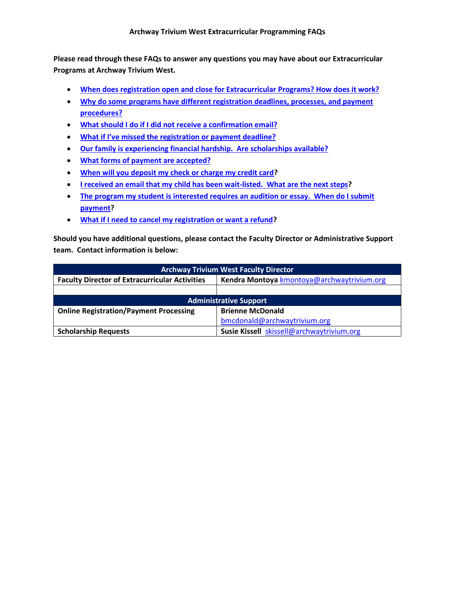**Programs at Archway Trivium West. Please read through these FAQs to answer any questions you may have about our Extracurricular** 

- **[When does registration open and close for Extracurricular Programs? How does it work?](#page-1-0)**
- **[procedures?](#page-1-1)** • **[Why do some programs have different registration deadlines, processes, and payment](#page-1-1)**
- **[What should I do if I did not receive a confirmation email?](#page-1-2)**
- **What if I've missed the [registration or payment deadline?](#page-1-3)**
- **[Our family is experiencing financial hardship. Are scholarships available?](#page-2-0)**
- **[What forms of payment are accepted?](#page-2-1)**
- **[When will you deposit my check or charge my credit card?](#page-2-2)**
- **[I received an email that my child has been wait-listed. What are the next steps?](#page-2-3)**
- **The program my student is interested requires an audition or essay. When do I submit [payment?](#page-3-0)**
- What if I need to cancel my registration or want a refund?

 • **[What if I need to cancel my registration or want a refund?](#page-3-1) Should you have additional questions, please contact the Faculty Director or Administrative Support team. Contact information is below:** 

| <b>Archway Trivium West Faculty Director</b>          |                                            |
|-------------------------------------------------------|--------------------------------------------|
| <b>Faculty Director of Extracurricular Activities</b> | Kendra Montoya kmontoya@archwaytrivium.org |
|                                                       |                                            |
| <b>Administrative Support</b>                         |                                            |
| <b>Online Registration/Payment Processing</b>         | <b>Brienne McDonald</b>                    |
|                                                       | bmcdonald@archwaytrivium.org               |
| <b>Scholarship Requests</b>                           | Susie Kissell skissell@archwaytrivium.org  |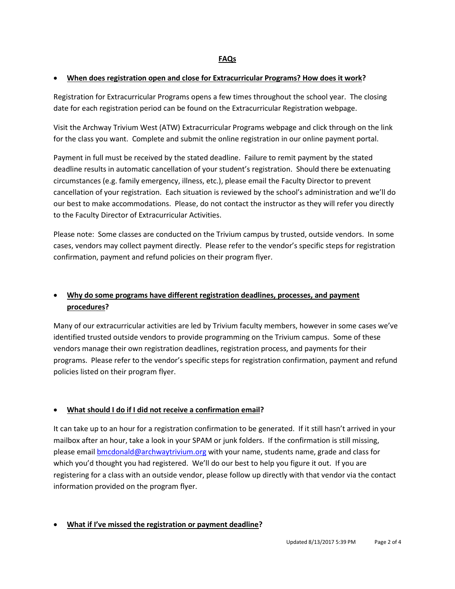#### <span id="page-1-0"></span>• **When does registration open and close for Extracurricular Programs? How does it work?**

Registration for Extracurricular Programs opens a few times throughout the school year. The closing date for each registration period can be found on the Extracurricular Registration webpage.

 for the class you want. Complete and submit the online registration in our online payment portal. Visit the Archway Trivium West (ATW) Extracurricular Programs webpage and click through on the link

 circumstances (e.g. family emergency, illness, etc.), please email the Faculty Director to prevent cancellation of your registration. Each situation is reviewed by the school's administration and we'll do to the Faculty Director of Extracurricular Activities. Payment in full must be received by the stated deadline. Failure to remit payment by the stated deadline results in automatic cancellation of your student's registration. Should there be extenuating our best to make accommodations. Please, do not contact the instructor as they will refer you directly

 Please note: Some classes are conducted on the Trivium campus by trusted, outside vendors. In some cases, vendors may collect payment directly. Please refer to the vendor's specific steps for registration confirmation, payment and refund policies on their program flyer.

# <span id="page-1-1"></span>• **Why do some programs have different registration deadlines, processes, and payment procedures?**

 programs. Please refer to the vendor's specific steps for registration confirmation, payment and refund Many of our extracurricular activities are led by Trivium faculty members, however in some cases we've identified trusted outside vendors to provide programming on the Trivium campus. Some of these vendors manage their own registration deadlines, registration process, and payments for their policies listed on their program flyer.

### <span id="page-1-2"></span>• **What should I do if I did not receive a confirmation email?**

 It can take up to an hour for a registration confirmation to be generated. If it still hasn't arrived in your which you'd thought you had registered. We'll do our best to help you figure it out. If you are mailbox after an hour, take a look in your SPAM or junk folders. If the confirmation is still missing, please email **bmcdonald@archwaytrivium.org** with your name, students name, grade and class for registering for a class with an outside vendor, please follow up directly with that vendor via the contact information provided on the program flyer.

## <span id="page-1-3"></span> • **What if I've missed the registration or payment deadline?**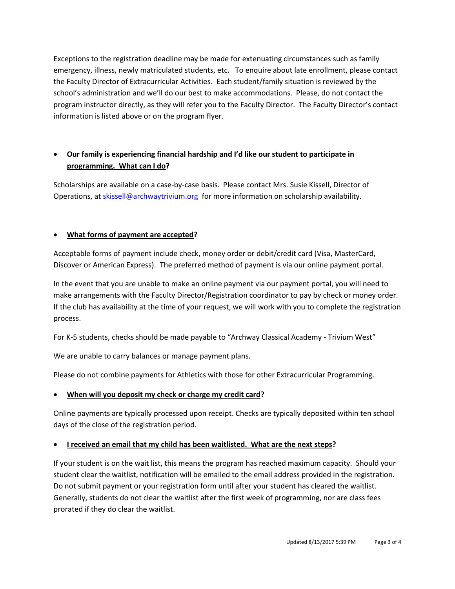emergency, illness, newly matriculated students, etc. To enquire about late enrollment, please contact the Faculty Director of Extracurricular Activities. Each student/family situation is reviewed by the program instructor directly, as they will refer you to the Faculty Director. The Faculty Director's contact Exceptions to the registration deadline may be made for extenuating circumstances such as family school's administration and we'll do our best to make accommodations. Please, do not contact the information is listed above or on the program flyer.

# <span id="page-2-0"></span> **programming. What can I do?**  • **Our family is experiencing financial hardship and I'd like our student to participate in**

 Scholarships are available on a case-by-case basis. Please contact Mrs. Susie Kissell, Director of Operations, a[t skissell@archwaytrivium.org](mailto:skissell@archwaytrivium.org) for more information on scholarship availability.

## <span id="page-2-1"></span>• **What forms of payment are accepted?**

 Discover or American Express). The preferred method of payment is via our online payment portal. Acceptable forms of payment include check, money order or debit/credit card (Visa, MasterCard,

 In the event that you are unable to make an online payment via our payment portal, you will need to If the club has availability at the time of your request, we will work with you to complete the registration make arrangements with the Faculty Director/Registration coordinator to pay by check or money order. process.

For K-5 students, checks should be made payable to "Archway Classical Academy - Trivium West"

We are unable to carry balances or manage payment plans.

Please do not combine payments for Athletics with those for other Extracurricular Programming.

### <span id="page-2-2"></span>• **When will you deposit my check or charge my credit card?**

Online payments are typically processed upon receipt. Checks are typically deposited within ten school days of the close of the registration period.

## <span id="page-2-3"></span> • **I received an email that my child has been waitlisted. What are the next steps?**

Do not submit payment or your registration form until after your student has cleared the waitlist. If your student is on the wait list, this means the program has reached maximum capacity. Should your student clear the waitlist, notification will be emailed to the email address provided in the registration. Generally, students do not clear the waitlist after the first week of programming, nor are class fees prorated if they do clear the waitlist.